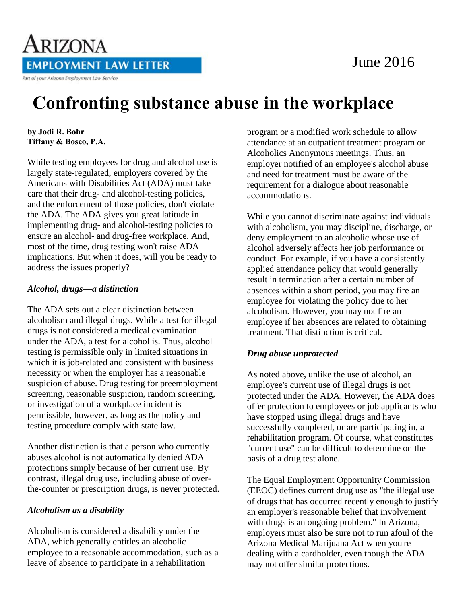# June 2016



# **Confronting substance abuse in the workplace**

#### **by Jodi R. Bohr Tiffany & Bosco, P.A.**

While testing employees for drug and alcohol use is largely state-regulated, employers covered by the Americans with Disabilities Act (ADA) must take care that their drug- and alcohol-testing policies, and the enforcement of those policies, don't violate the ADA. The ADA gives you great latitude in implementing drug- and alcohol-testing policies to ensure an alcohol- and drug-free workplace. And, most of the time, drug testing won't raise ADA implications. But when it does, will you be ready to address the issues properly?

#### *Alcohol, drugs—a distinction*

The ADA sets out a clear distinction between alcoholism and illegal drugs. While a test for illegal drugs is not considered a medical examination under the ADA, a test for alcohol is. Thus, alcohol testing is permissible only in limited situations in which it is job-related and consistent with business necessity or when the employer has a reasonable suspicion of abuse. Drug testing for preemployment screening, reasonable suspicion, random screening, or investigation of a workplace incident is permissible, however, as long as the policy and testing procedure comply with state law.

Another distinction is that a person who currently abuses alcohol is not automatically denied ADA protections simply because of her current use. By contrast, illegal drug use, including abuse of overthe-counter or prescription drugs, is never protected.

### *Alcoholism as a disability*

Alcoholism is considered a disability under the ADA, which generally entitles an alcoholic employee to a reasonable accommodation, such as a leave of absence to participate in a rehabilitation

program or a modified work schedule to allow attendance at an outpatient treatment program or Alcoholics Anonymous meetings. Thus, an employer notified of an employee's alcohol abuse and need for treatment must be aware of the requirement for a dialogue about reasonable accommodations.

While you cannot discriminate against individuals with alcoholism, you may discipline, discharge, or deny employment to an alcoholic whose use of alcohol adversely affects her job performance or conduct. For example, if you have a consistently applied attendance policy that would generally result in termination after a certain number of absences within a short period, you may fire an employee for violating the policy due to her alcoholism. However, you may not fire an employee if her absences are related to obtaining treatment. That distinction is critical.

## *Drug abuse unprotected*

As noted above, unlike the use of alcohol, an employee's current use of illegal drugs is not protected under the ADA. However, the ADA does offer protection to employees or job applicants who have stopped using illegal drugs and have successfully completed, or are participating in, a rehabilitation program. Of course, what constitutes "current use" can be difficult to determine on the basis of a drug test alone.

The Equal Employment Opportunity Commission (EEOC) defines current drug use as "the illegal use of drugs that has occurred recently enough to justify an employer's reasonable belief that involvement with drugs is an ongoing problem." In Arizona, employers must also be sure not to run afoul of the Arizona Medical Marijuana Act when you're dealing with a cardholder, even though the ADA may not offer similar protections.